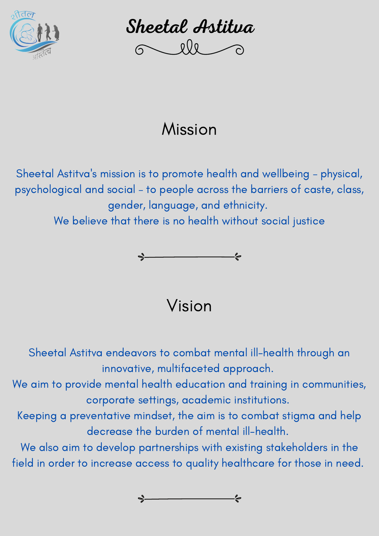

Sheetal Astitva

## Mission

Sheetal Astitva 's mission is to promote health and wellbeing – physical, psychological and social – to people across the barriers of caste, class, gender, language, and ethnicity.

We believe that there is no health without social justice



Vision

Sheetal Astitva endeavors to combat mental ill-health through an innovative, multifaceted approach. We aim to provide mental health education and training in communities, corporate settings, academic institutions. Keeping a preventative mindset, the aim is to combat stigma and help decrease the burden of mental ill-health. We also aim to develop partnerships with existing stakeholders in the field in order to increase access to quality healthcare for those in need.